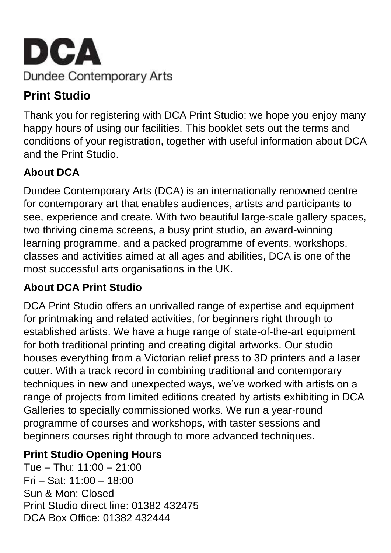

# **Print Studio**

Thank you for registering with DCA Print Studio: we hope you enjoy many happy hours of using our facilities. This booklet sets out the terms and conditions of your registration, together with useful information about DCA and the Print Studio.

# **About DCA**

Dundee Contemporary Arts (DCA) is an internationally renowned centre for contemporary art that enables audiences, artists and participants to see, experience and create. With two beautiful large-scale gallery spaces, two thriving cinema screens, a busy print studio, an award-winning learning programme, and a packed programme of events, workshops, classes and activities aimed at all ages and abilities, DCA is one of the most successful arts organisations in the UK.

# **About DCA Print Studio**

DCA Print Studio offers an unrivalled range of expertise and equipment for printmaking and related activities, for beginners right through to established artists. We have a huge range of state-of-the-art equipment for both traditional printing and creating digital artworks. Our studio houses everything from a Victorian relief press to 3D printers and a laser cutter. With a track record in combining traditional and contemporary techniques in new and unexpected ways, we've worked with artists on a range of projects from limited editions created by artists exhibiting in DCA Galleries to specially commissioned works. We run a year-round programme of courses and workshops, with taster sessions and beginners courses right through to more advanced techniques.

### **Print Studio Opening Hours**

Tue – Thu: 11:00 – 21:00 Fri – Sat: 11:00 – 18:00 Sun & Mon: Closed Print Studio direct line: 01382 432475 DCA Box Office: 01382 432444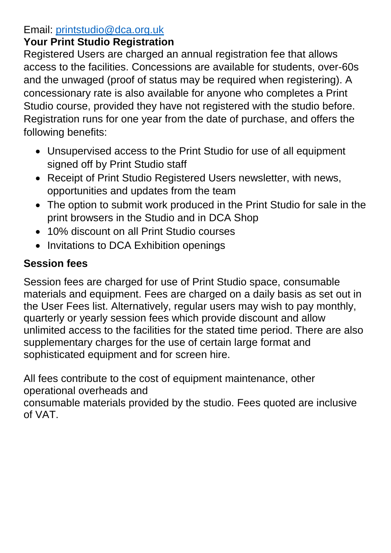### Email: [printstudio@dca.org.uk](mailto:printstudio@dca.org.uk)

## **Your Print Studio Registration**

Registered Users are charged an annual registration fee that allows access to the facilities. Concessions are available for students, over-60s and the unwaged (proof of status may be required when registering). A concessionary rate is also available for anyone who completes a Print Studio course, provided they have not registered with the studio before. Registration runs for one year from the date of purchase, and offers the following benefits:

- Unsupervised access to the Print Studio for use of all equipment signed off by Print Studio staff
- Receipt of Print Studio Registered Users newsletter, with news, opportunities and updates from the team
- The option to submit work produced in the Print Studio for sale in the print browsers in the Studio and in DCA Shop
- 10% discount on all Print Studio courses
- Invitations to DCA Exhibition openings

# **Session fees**

Session fees are charged for use of Print Studio space, consumable materials and equipment. Fees are charged on a daily basis as set out in the User Fees list. Alternatively, regular users may wish to pay monthly, quarterly or yearly session fees which provide discount and allow unlimited access to the facilities for the stated time period. There are also supplementary charges for the use of certain large format and sophisticated equipment and for screen hire.

All fees contribute to the cost of equipment maintenance, other operational overheads and

consumable materials provided by the studio. Fees quoted are inclusive of VAT.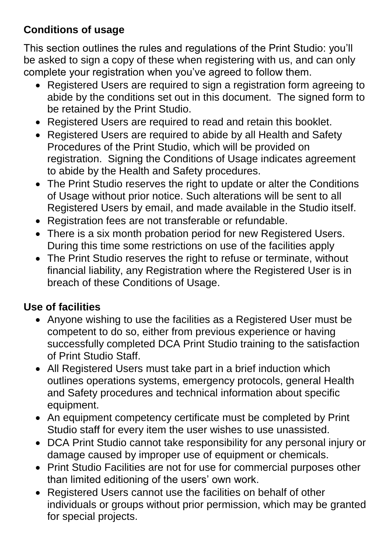## **Conditions of usage**

This section outlines the rules and regulations of the Print Studio: you'll be asked to sign a copy of these when registering with us, and can only complete your registration when you've agreed to follow them.

- Registered Users are required to sign a registration form agreeing to abide by the conditions set out in this document. The signed form to be retained by the Print Studio.
- Registered Users are required to read and retain this booklet.
- Registered Users are required to abide by all Health and Safety Procedures of the Print Studio, which will be provided on registration. Signing the Conditions of Usage indicates agreement to abide by the Health and Safety procedures.
- The Print Studio reserves the right to update or alter the Conditions of Usage without prior notice. Such alterations will be sent to all Registered Users by email, and made available in the Studio itself.
- Registration fees are not transferable or refundable.
- There is a six month probation period for new Registered Users. During this time some restrictions on use of the facilities apply
- The Print Studio reserves the right to refuse or terminate, without financial liability, any Registration where the Registered User is in breach of these Conditions of Usage.

### **Use of facilities**

- Anyone wishing to use the facilities as a Registered User must be competent to do so, either from previous experience or having successfully completed DCA Print Studio training to the satisfaction of Print Studio Staff.
- All Registered Users must take part in a brief induction which outlines operations systems, emergency protocols, general Health and Safety procedures and technical information about specific equipment.
- An equipment competency certificate must be completed by Print Studio staff for every item the user wishes to use unassisted.
- DCA Print Studio cannot take responsibility for any personal injury or damage caused by improper use of equipment or chemicals.
- Print Studio Facilities are not for use for commercial purposes other than limited editioning of the users' own work.
- Registered Users cannot use the facilities on behalf of other individuals or groups without prior permission, which may be granted for special projects.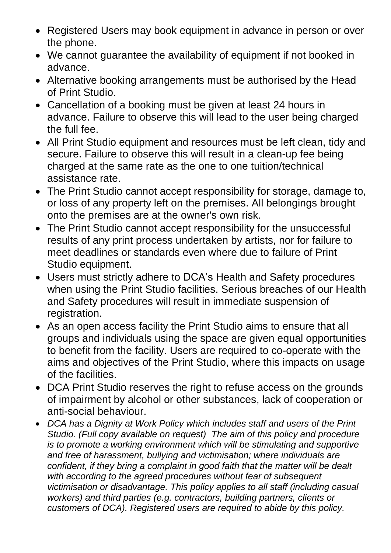- Registered Users may book equipment in advance in person or over the phone.
- We cannot guarantee the availability of equipment if not booked in advance.
- Alternative booking arrangements must be authorised by the Head of Print Studio.
- Cancellation of a booking must be given at least 24 hours in advance. Failure to observe this will lead to the user being charged the full fee.
- All Print Studio equipment and resources must be left clean, tidy and secure. Failure to observe this will result in a clean-up fee being charged at the same rate as the one to one tuition/technical assistance rate.
- The Print Studio cannot accept responsibility for storage, damage to, or loss of any property left on the premises. All belongings brought onto the premises are at the owner's own risk.
- The Print Studio cannot accept responsibility for the unsuccessful results of any print process undertaken by artists, nor for failure to meet deadlines or standards even where due to failure of Print Studio equipment.
- Users must strictly adhere to DCA's Health and Safety procedures when using the Print Studio facilities. Serious breaches of our Health and Safety procedures will result in immediate suspension of registration.
- As an open access facility the Print Studio aims to ensure that all groups and individuals using the space are given equal opportunities to benefit from the facility. Users are required to co-operate with the aims and objectives of the Print Studio, where this impacts on usage of the facilities.
- DCA Print Studio reserves the right to refuse access on the grounds of impairment by alcohol or other substances, lack of cooperation or anti-social behaviour.
- *DCA has a Dignity at Work Policy which includes staff and users of the Print Studio. (Full copy available on request) The aim of this policy and procedure is to promote a working environment which will be stimulating and supportive and free of harassment, bullying and victimisation; where individuals are confident, if they bring a complaint in good faith that the matter will be dealt with according to the agreed procedures without fear of subsequent victimisation or disadvantage. This policy applies to all staff (including casual workers) and third parties (e.g. contractors, building partners, clients or customers of DCA). Registered users are required to abide by this policy.*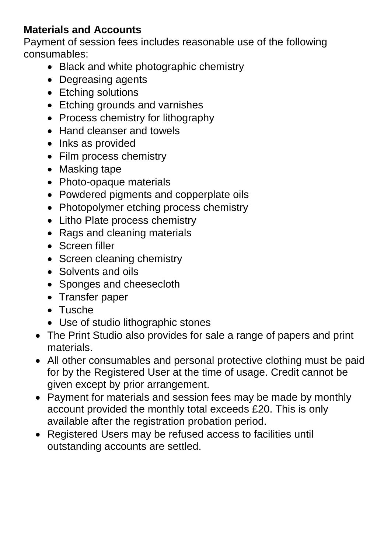### **Materials and Accounts**

Payment of session fees includes reasonable use of the following consumables:

- Black and white photographic chemistry
- Degreasing agents
- Etching solutions
- Etching grounds and varnishes
- Process chemistry for lithography
- Hand cleanser and towels
- Inks as provided
- Film process chemistry
- Masking tape
- Photo-opaque materials
- Powdered pigments and copperplate oils
- Photopolymer etching process chemistry
- Litho Plate process chemistry
- Rags and cleaning materials
- Screen filler
- Screen cleaning chemistry
- Solvents and oils
- Sponges and cheesecloth
- Transfer paper
- Tusche
- Use of studio lithographic stones
- The Print Studio also provides for sale a range of papers and print materials.
- All other consumables and personal protective clothing must be paid for by the Registered User at the time of usage. Credit cannot be given except by prior arrangement.
- Payment for materials and session fees may be made by monthly account provided the monthly total exceeds £20. This is only available after the registration probation period.
- Registered Users may be refused access to facilities until outstanding accounts are settled.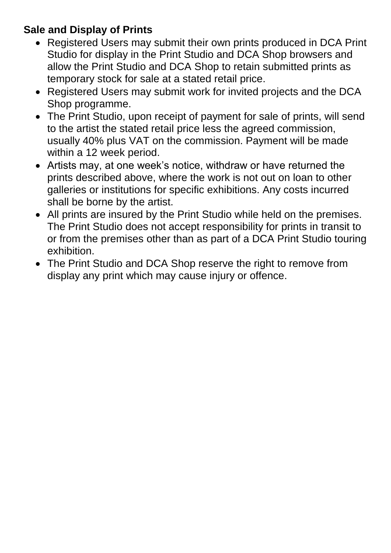## **Sale and Display of Prints**

- Registered Users may submit their own prints produced in DCA Print Studio for display in the Print Studio and DCA Shop browsers and allow the Print Studio and DCA Shop to retain submitted prints as temporary stock for sale at a stated retail price.
- Registered Users may submit work for invited projects and the DCA Shop programme.
- The Print Studio, upon receipt of payment for sale of prints, will send to the artist the stated retail price less the agreed commission, usually 40% plus VAT on the commission. Payment will be made within a 12 week period.
- Artists may, at one week's notice, withdraw or have returned the prints described above, where the work is not out on loan to other galleries or institutions for specific exhibitions. Any costs incurred shall be borne by the artist.
- All prints are insured by the Print Studio while held on the premises. The Print Studio does not accept responsibility for prints in transit to or from the premises other than as part of a DCA Print Studio touring exhibition.
- The Print Studio and DCA Shop reserve the right to remove from display any print which may cause injury or offence.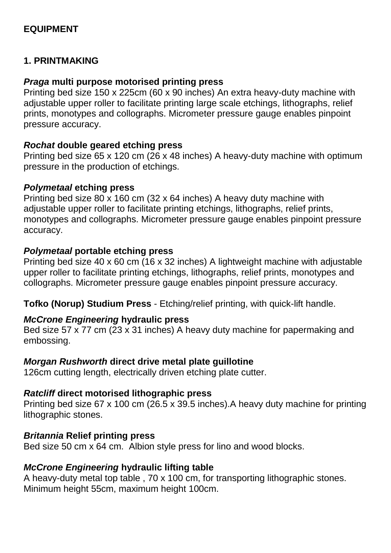#### **EQUIPMENT**

#### **1. PRINTMAKING**

#### *Praga* **multi purpose motorised printing press**

Printing bed size 150 x 225cm (60 x 90 inches) An extra heavy-duty machine with adjustable upper roller to facilitate printing large scale etchings, lithographs, relief prints, monotypes and collographs. Micrometer pressure gauge enables pinpoint pressure accuracy.

#### *Rochat* **double geared etching press**

Printing bed size 65 x 120 cm (26 x 48 inches) A heavy-duty machine with optimum pressure in the production of etchings.

#### *Polymetaal* **etching press**

Printing bed size 80 x 160 cm (32 x 64 inches) A heavy duty machine with adjustable upper roller to facilitate printing etchings, lithographs, relief prints, monotypes and collographs. Micrometer pressure gauge enables pinpoint pressure accuracy.

#### *Polymetaal* **portable etching press**

Printing bed size 40 x 60 cm (16 x 32 inches) A lightweight machine with adjustable upper roller to facilitate printing etchings, lithographs, relief prints, monotypes and collographs. Micrometer pressure gauge enables pinpoint pressure accuracy.

**Tofko (Norup) Studium Press** - Etching/relief printing, with quick-lift handle.

#### *McCrone Engineering* **hydraulic press**

Bed size 57 x 77 cm (23 x 31 inches) A heavy duty machine for papermaking and embossing.

#### *Morgan Rushworth* **direct drive metal plate guillotine**

126cm cutting length, electrically driven etching plate cutter.

#### *Ratcliff* **direct motorised lithographic press**

Printing bed size 67 x 100 cm (26.5 x 39.5 inches).A heavy duty machine for printing lithographic stones.

#### *Britannia* **Relief printing press**

Bed size 50 cm x 64 cm. Albion style press for lino and wood blocks.

#### *McCrone Engineering* **hydraulic lifting table**

A heavy-duty metal top table , 70 x 100 cm, for transporting lithographic stones. Minimum height 55cm, maximum height 100cm.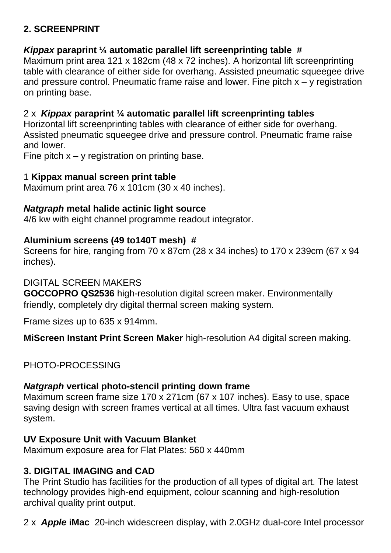#### **2. SCREENPRINT**

#### *Kippax* **paraprint ¼ automatic parallel lift screenprinting table #**

Maximum print area 121 x 182cm (48 x 72 inches). A horizontal lift screenprinting table with clearance of either side for overhang. Assisted pneumatic squeegee drive and pressure control. Pneumatic frame raise and lower. Fine pitch  $x - y$  registration on printing base.

#### 2 x *Kippax* **paraprint ¼ automatic parallel lift screenprinting tables**

Horizontal lift screenprinting tables with clearance of either side for overhang. Assisted pneumatic squeegee drive and pressure control. Pneumatic frame raise and lower.

Fine pitch  $x - y$  registration on printing base.

#### 1 **Kippax manual screen print table**

Maximum print area 76 x 101cm (30 x 40 inches).

#### *Natgraph* **metal halide actinic light source**

4/6 kw with eight channel programme readout integrator.

#### **Aluminium screens (49 to140T mesh) #**

Screens for hire, ranging from 70 x 87cm (28 x 34 inches) to 170 x 239cm (67 x 94 inches).

#### DIGITAL SCREEN MAKERS

**GOCCOPRO QS2536** high-resolution digital screen maker. Environmentally friendly, completely dry digital thermal screen making system.

Frame sizes up to 635 x 914mm.

**MiScreen Instant Print Screen Maker** high-resolution A4 digital screen making.

#### PHOTO-PROCESSING

#### *Natgraph* **vertical photo-stencil printing down frame**

Maximum screen frame size 170 x 271cm (67 x 107 inches). Easy to use, space saving design with screen frames vertical at all times. Ultra fast vacuum exhaust system.

#### **UV Exposure Unit with Vacuum Blanket**

Maximum exposure area for Flat Plates: 560 x 440mm

#### **3. DIGITAL IMAGING and CAD**

The Print Studio has facilities for the production of all types of digital art. The latest technology provides high-end equipment, colour scanning and high-resolution archival quality print output.

2 x *Apple* **iMac** [20-inch widescreen display,](http://www.apple.com/imac/technology/display.html) with [2.0GHz dual-core Intel processor](http://www.apple.com/imac/technology/intel.html)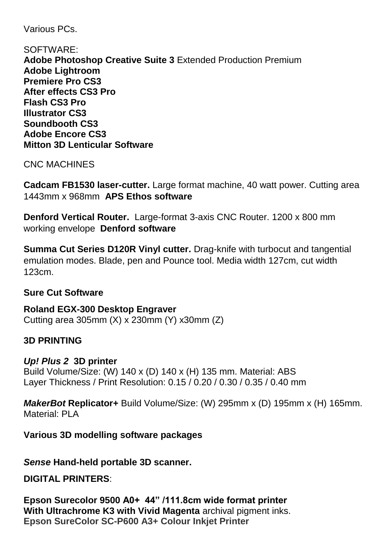Various PCs.

SOFTWARE: **Adobe Photoshop Creative Suite 3** Extended Production Premium **Adobe Lightroom Premiere Pro CS3 After effects CS3 Pro Flash CS3 Pro Illustrator CS3 Soundbooth CS3 Adobe Encore CS3 Mitton 3D Lenticular Software**

CNC MACHINES

**Cadcam FB1530 laser-cutter.** Large format machine, 40 watt power. Cutting area 1443mm x 968mm **APS Ethos software**

**Denford Vertical Router.** Large-format 3-axis CNC Router. 1200 x 800 mm working envelope **Denford software**

**Summa Cut Series D120R Vinyl cutter.** Drag-knife with turbocut and tangential emulation modes. Blade, pen and Pounce tool. Media width 127cm, cut width 123cm.

#### **Sure Cut Software**

**Roland EGX-300 Desktop Engraver** Cutting area 305mm (X) x 230mm (Y) x30mm (Z)

#### **3D PRINTING**

*Up! Plus 2* **3D printer** Build Volume/Size: (W) 140 x (D) 140 x (H) 135 mm. Material: ABS Layer Thickness / Print Resolution: 0.15 / 0.20 / 0.30 / 0.35 / 0.40 mm

*MakerBot* **Replicator+** Build Volume/Size: (W) 295mm x (D) 195mm x (H) 165mm. Material: PI A

**Various 3D modelling software packages**

*Sense* **Hand-held portable 3D scanner.**

#### **DIGITAL PRINTERS**:

**Epson Surecolor 9500 A0+ 44" /111.8cm wide format printer With Ultrachrome K3 with Vivid Magenta** archival pigment inks. **Epson SureColor SC-P600 A3+ Colour Inkjet Printer**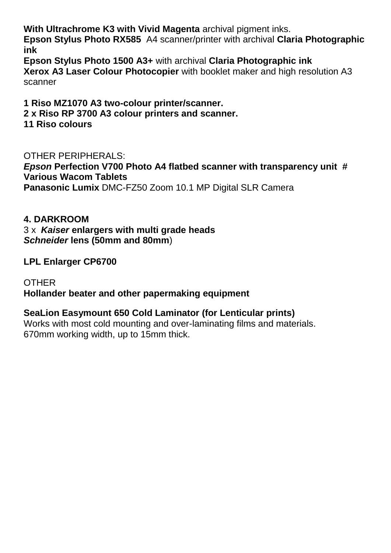**With Ultrachrome K3 with Vivid Magenta** archival pigment inks.

**Epson Stylus Photo RX585** A4 scanner/printer with archival **Claria Photographic ink**

**Epson Stylus Photo 1500 A3+** with archival **Claria Photographic ink Xerox A3 Laser Colour Photocopier** with booklet maker and high resolution A3 scanner

**1 Riso MZ1070 A3 two-colour printer/scanner. 2 x Riso RP 3700 A3 colour printers and scanner. 11 Riso colours**

OTHER PERIPHERALS: *Epson* **Perfection V700 Photo A4 flatbed scanner with transparency unit # Various Wacom Tablets Panasonic Lumix** DMC-FZ50 Zoom 10.1 MP Digital SLR Camera

#### **4. DARKROOM**

3 x *Kaiser* **enlargers with multi grade heads** *Schneider* **lens (50mm and 80mm**)

**LPL Enlarger CP6700**

**OTHER Hollander beater and other papermaking equipment**

#### **SeaLion Easymount 650 Cold Laminator (for Lenticular prints)**

Works with most cold mounting and over-laminating films and materials. 670mm working width, up to 15mm thick.